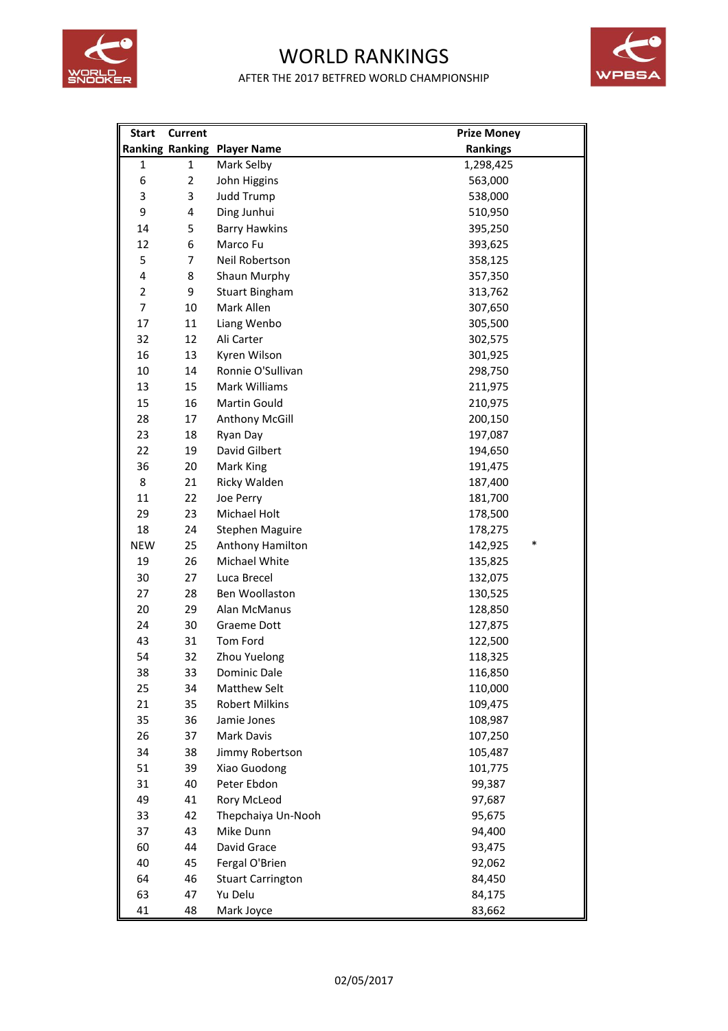

## WORLD RANKINGS AFTER THE 2017 BETFRED WORLD CHAMPIONSHIP



| <b>Start</b>   | <b>Current</b> |                                    | <b>Prize Money</b> |
|----------------|----------------|------------------------------------|--------------------|
|                |                | <b>Ranking Ranking Player Name</b> | <b>Rankings</b>    |
| 1              | $\mathbf{1}$   | Mark Selby                         | 1,298,425          |
| 6              | $\overline{2}$ | John Higgins                       | 563,000            |
| 3              | 3              | Judd Trump                         | 538,000            |
| 9              | 4              | Ding Junhui                        | 510,950            |
| 14             | 5              | <b>Barry Hawkins</b>               | 395,250            |
| 12             | 6              | Marco Fu                           | 393,625            |
| 5              | $\overline{7}$ | Neil Robertson                     | 358,125            |
| 4              | 8              | Shaun Murphy                       | 357,350            |
| $\overline{2}$ | 9              | <b>Stuart Bingham</b>              | 313,762            |
| $\overline{7}$ | 10             | Mark Allen                         | 307,650            |
| 17             | 11             | Liang Wenbo                        | 305,500            |
| 32             | 12             | Ali Carter                         | 302,575            |
| 16             | 13             | Kyren Wilson                       | 301,925            |
| 10             | 14             | Ronnie O'Sullivan                  | 298,750            |
| 13             | 15             | Mark Williams                      | 211,975            |
| 15             | 16             | Martin Gould                       | 210,975            |
| 28             | 17             | Anthony McGill                     | 200,150            |
| 23             | 18             | Ryan Day                           | 197,087            |
| 22             | 19             | David Gilbert                      | 194,650            |
| 36             | 20             | Mark King                          | 191,475            |
| 8              | 21             | Ricky Walden                       | 187,400            |
| 11             | 22             | Joe Perry                          | 181,700            |
| 29             | 23             | Michael Holt                       | 178,500            |
| 18             | 24             | <b>Stephen Maguire</b>             | 178,275            |
| <b>NEW</b>     | 25             | Anthony Hamilton                   | *<br>142,925       |
| 19             | 26             | Michael White                      | 135,825            |
| 30             | 27             | Luca Brecel                        | 132,075            |
| 27             | 28             | Ben Woollaston                     | 130,525            |
| 20             | 29             | Alan McManus                       | 128,850            |
| 24             | 30             | Graeme Dott                        | 127,875            |
| 43             | 31             | Tom Ford                           | 122,500            |
| 54             | 32             | Zhou Yuelong                       | 118,325            |
| 38             | 33             | Dominic Dale                       | 116,850            |
| 25             | 34             | <b>Matthew Selt</b>                | 110,000            |
| 21             | 35             | <b>Robert Milkins</b>              | 109,475            |
| 35             | 36             | Jamie Jones                        | 108,987            |
| 26             | 37             | <b>Mark Davis</b>                  | 107,250            |
| 34             | 38             | Jimmy Robertson                    | 105,487            |
| 51             | 39             | Xiao Guodong                       | 101,775            |
| 31             | 40             | Peter Ebdon                        | 99,387             |
| 49             | 41             | Rory McLeod                        | 97,687             |
| 33             | 42             | Thepchaiya Un-Nooh                 | 95,675             |
| 37             | 43             | Mike Dunn                          | 94,400             |
| 60             | 44             | David Grace                        | 93,475             |
| 40             | 45             | Fergal O'Brien                     | 92,062             |
| 64             | 46             | <b>Stuart Carrington</b>           | 84,450             |
| 63             | 47             | Yu Delu                            | 84,175             |
| 41             | 48             | Mark Joyce                         | 83,662             |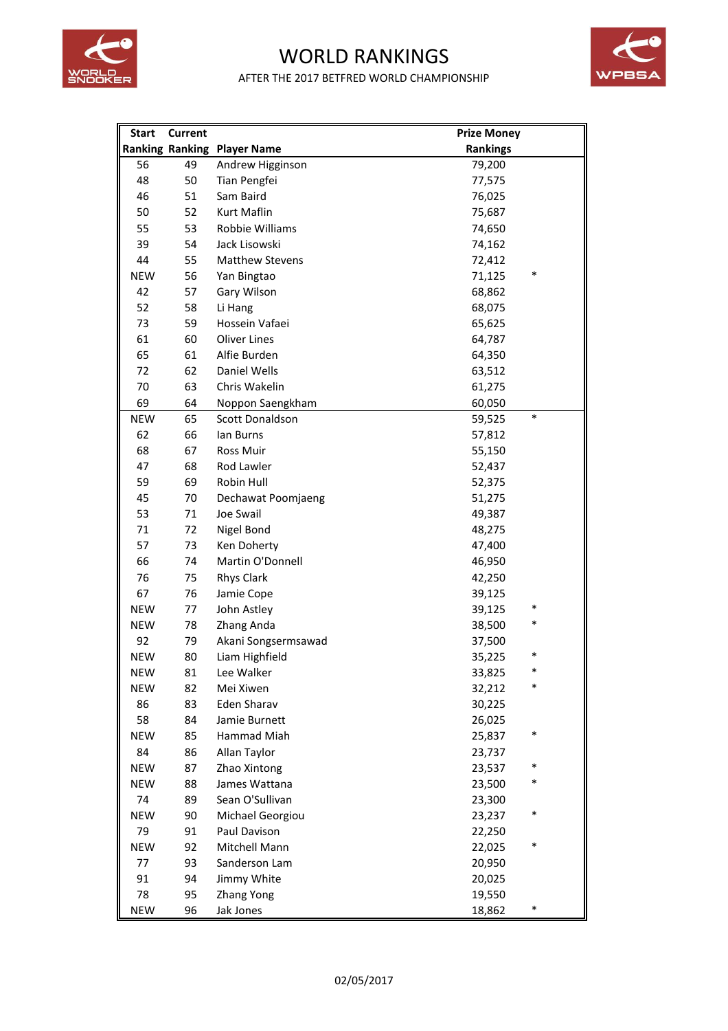

## WORLD RANKINGS AFTER THE 2017 BETFRED WORLD CHAMPIONSHIP



| <b>Start</b> | <b>Current</b> |                                    | <b>Prize Money</b> |        |
|--------------|----------------|------------------------------------|--------------------|--------|
|              |                | <b>Ranking Ranking Player Name</b> | <b>Rankings</b>    |        |
| 56           | 49             | Andrew Higginson                   | 79,200             |        |
| 48           | 50             | Tian Pengfei                       | 77,575             |        |
| 46           | 51             | Sam Baird                          | 76,025             |        |
| 50           | 52             | Kurt Maflin                        | 75,687             |        |
| 55           | 53             | Robbie Williams                    | 74,650             |        |
| 39           | 54             | Jack Lisowski                      | 74,162             |        |
| 44           | 55             | <b>Matthew Stevens</b>             | 72,412             |        |
| <b>NEW</b>   | 56             | Yan Bingtao                        | 71,125             | *      |
| 42           | 57             | Gary Wilson                        | 68,862             |        |
| 52           | 58             | Li Hang                            | 68,075             |        |
| 73           | 59             | Hossein Vafaei                     | 65,625             |        |
| 61           | 60             | <b>Oliver Lines</b>                | 64,787             |        |
| 65           | 61             | Alfie Burden                       | 64,350             |        |
| 72           | 62             | <b>Daniel Wells</b>                | 63,512             |        |
| 70           | 63             | Chris Wakelin                      | 61,275             |        |
| 69           | 64             | Noppon Saengkham                   | 60,050             |        |
| <b>NEW</b>   | 65             | Scott Donaldson                    | 59,525             | $\ast$ |
| 62           | 66             | lan Burns                          | 57,812             |        |
| 68           | 67             | Ross Muir                          | 55,150             |        |
| 47           | 68             | Rod Lawler                         | 52,437             |        |
| 59           | 69             | Robin Hull                         | 52,375             |        |
| 45           | 70             | Dechawat Poomjaeng                 | 51,275             |        |
| 53           | 71             | Joe Swail                          | 49,387             |        |
| 71           | 72             | Nigel Bond                         | 48,275             |        |
| 57           | 73             | Ken Doherty                        | 47,400             |        |
| 66           | 74             | Martin O'Donnell                   | 46,950             |        |
| 76           | 75             | <b>Rhys Clark</b>                  | 42,250             |        |
| 67           | 76             | Jamie Cope                         | 39,125             |        |
| <b>NEW</b>   | 77             | John Astley                        | 39,125             | ∗      |
| <b>NEW</b>   | 78             | Zhang Anda                         | 38,500             |        |
| 92           | 79             | Akani Songsermsawad                | 37,500             |        |
| <b>NEW</b>   | 80             | Liam Highfield                     | 35,225             | *      |
| <b>NEW</b>   | 81             | Lee Walker                         | 33,825             | *      |
| <b>NEW</b>   | 82             | Mei Xiwen                          | 32,212             | *      |
| 86           | 83             | <b>Eden Sharav</b>                 | 30,225             |        |
| 58           | 84             | Jamie Burnett                      | 26,025             |        |
| <b>NEW</b>   | 85             | Hammad Miah                        | 25,837             | *      |
| 84           | 86             | Allan Taylor                       | 23,737             |        |
| <b>NEW</b>   | 87             | Zhao Xintong                       | 23,537             | *      |
| <b>NEW</b>   | 88             | James Wattana                      | 23,500             | ∗      |
| 74           | 89             | Sean O'Sullivan                    | 23,300             |        |
| <b>NEW</b>   | 90             | Michael Georgiou                   | 23,237             | *      |
| 79           | 91             | Paul Davison                       | 22,250             |        |
| <b>NEW</b>   | 92             | Mitchell Mann                      | 22,025             | *      |
| 77           | 93             | Sanderson Lam                      | 20,950             |        |
| 91           | 94             | Jimmy White                        | 20,025             |        |
| 78           | 95             | Zhang Yong                         | 19,550             |        |
| <b>NEW</b>   | 96             | Jak Jones                          | 18,862             | ∗      |